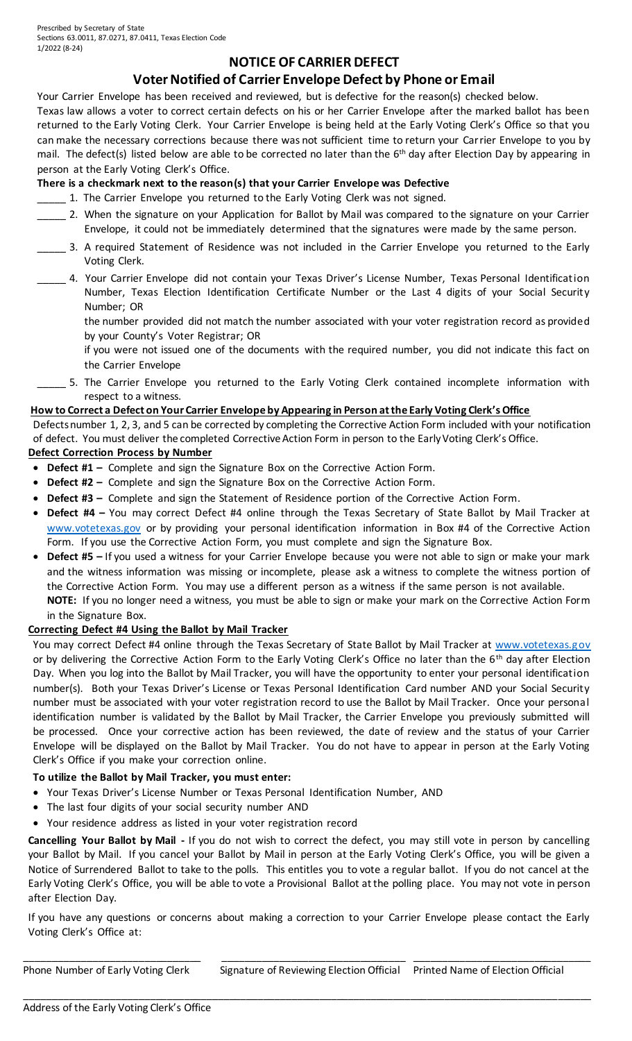Prescribed by Secretary of State Sections 63.0011, 87.0271, 87.0411, Texas Election Code 1/2022 (8-24)

# **NOTICE OF CARRIER DEFECT**

# **Voter Notified of Carrier Envelope Defect by Phone or Email**

Your Carrier Envelope has been received and reviewed, but is defective for the reason(s) checked below.

Texas law allows a voter to correct certain defects on his or her Carrier Envelope after the marked ballot has been returned to the Early Voting Clerk. Your Carrier Envelope is being held at the Early Voting Clerk's Office so that you can make the necessary corrections because there was not sufficient time to return your Carrier Envelope to you by mail. The defect(s) listed below are able to be corrected no later than the 6<sup>th</sup> day after Election Day by appearing in person at the Early Voting Clerk's Office.

## **There is a checkmark next to the reason(s) that your Carrier Envelope was Defective**

- 1. The Carrier Envelope you returned to the Early Voting Clerk was not signed.
- \_\_\_\_\_ 2. When the signature on your Application for Ballot by Mail was compared to the signature on your Carrier Envelope, it could not be immediately determined that the signatures were made by the same person.
- 3. A required Statement of Residence was not included in the Carrier Envelope you returned to the Early Voting Clerk.
- \_\_\_\_\_ 4. Your Carrier Envelope did not contain your Texas Driver's License Number, Texas Personal Identification Number, Texas Election Identification Certificate Number or the Last 4 digits of your Social Security Number; OR
	- the number provided did not match the number associated with your voter registration record as provided by your County's Voter Registrar; OR

if you were not issued one of the documents with the required number, you did not indicate this fact on the Carrier Envelope

\_\_\_\_\_ 5. The Carrier Envelope you returned to the Early Voting Clerk contained incomplete information with respect to a witness.

#### **How to Correct a Defect on Your Carrier Envelope by Appearing in Person at the Early Voting Clerk's Office**

Defects number 1, 2, 3, and 5 can be corrected by completing the Corrective Action Form included with your notification of defect. You must deliver the completed Corrective Action Form in person to the Early Voting Clerk's Office.

### **Defect Correction Process by Number**

- **Defect #1 –** Complete and sign the Signature Box on the Corrective Action Form.
- **Defect #2 –** Complete and sign the Signature Box on the Corrective Action Form.
- **Defect #3 –** Complete and sign the Statement of Residence portion of the Corrective Action Form.
- **Defect #4 –** You may correct Defect #4 online through the Texas Secretary of State Ballot by Mail Tracker at [www.votetexas.gov](http://www.votetexas.gov/) or by providing your personal identification information in Box #4 of the Corrective Action Form. If you use the Corrective Action Form, you must complete and sign the Signature Box.
- **Defect #5 –** If you used a witness for your Carrier Envelope because you were not able to sign or make your mark and the witness information was missing or incomplete, please ask a witness to complete the witness portion of the Corrective Action Form. You may use a different person as a witness if the same person is not available. **NOTE:** If you no longer need a witness, you must be able to sign or make your mark on the Corrective Action Form
- in the Signature Box.

#### **Correcting Defect #4 Using the Ballot by Mail Tracker**

You may correct Defect #4 online through the Texas Secretary of State Ballot by Mail Tracker at www.votetexas.gov or by delivering the Corrective Action Form to the Early Voting Clerk's Office no later than the 6<sup>th</sup> day after Election Day. When you log into the Ballot by Mail Tracker, you will have the opportunity to enter your personal identification number(s). Both your Texas Driver's License or Texas Personal Identification Card number AND your Social Security number must be associated with your voter registration record to use the Ballot by Mail Tracker. Once your personal identification number is validated by the Ballot by Mail Tracker, the Carrier Envelope you previously submitted will be processed. Once your corrective action has been reviewed, the date of review and the status of your Carrier Envelope will be displayed on the Ballot by Mail Tracker. You do not have to appear in person at the Early Voting Clerk's Office if you make your correction online.

#### **To utilize the Ballot by Mail Tracker, you must enter:**

- Your Texas Driver's License Number or Texas Personal Identification Number, AND
- The last four digits of your social security number AND
- Your residence address as listed in your voter registration record

**Cancelling Your Ballot by Mail -** If you do not wish to correct the defect, you may still vote in person by cancelling your Ballot by Mail. If you cancel your Ballot by Mail in person at the Early Voting Clerk's Office, you will be given a Notice of Surrendered Ballot to take to the polls. This entitles you to vote a regular ballot. If you do not cancel at the Early Voting Clerk's Office, you will be able to vote a Provisional Ballot at the polling place. You may not vote in person after Election Day.

If you have any questions or concerns about making a correction to your Carrier Envelope please contact the Early Voting Clerk's Office at:

\_\_\_\_\_\_\_\_\_\_\_\_\_\_\_\_\_\_\_\_\_\_\_\_\_\_\_\_\_\_\_ \_\_\_\_\_\_\_\_\_\_\_\_\_\_\_\_\_\_\_\_\_\_\_\_\_\_\_\_\_\_\_\_ \_\_\_\_\_\_\_\_\_\_\_\_\_\_\_\_\_\_\_\_\_\_\_\_\_\_\_\_\_\_\_

\_\_\_\_\_\_\_\_\_\_\_\_\_\_\_\_\_\_\_\_\_\_\_\_\_\_\_\_\_\_\_\_\_\_\_\_\_\_\_\_\_\_\_\_\_\_\_\_\_\_\_\_\_\_\_\_\_\_\_\_\_\_\_\_\_\_\_\_\_\_\_\_\_\_\_\_\_\_\_\_\_\_\_\_\_\_\_\_\_\_\_\_\_\_\_\_\_\_\_\_

Phone Number of Early Voting Clerk Signature of Reviewing Election Official Printed Name of Election Official